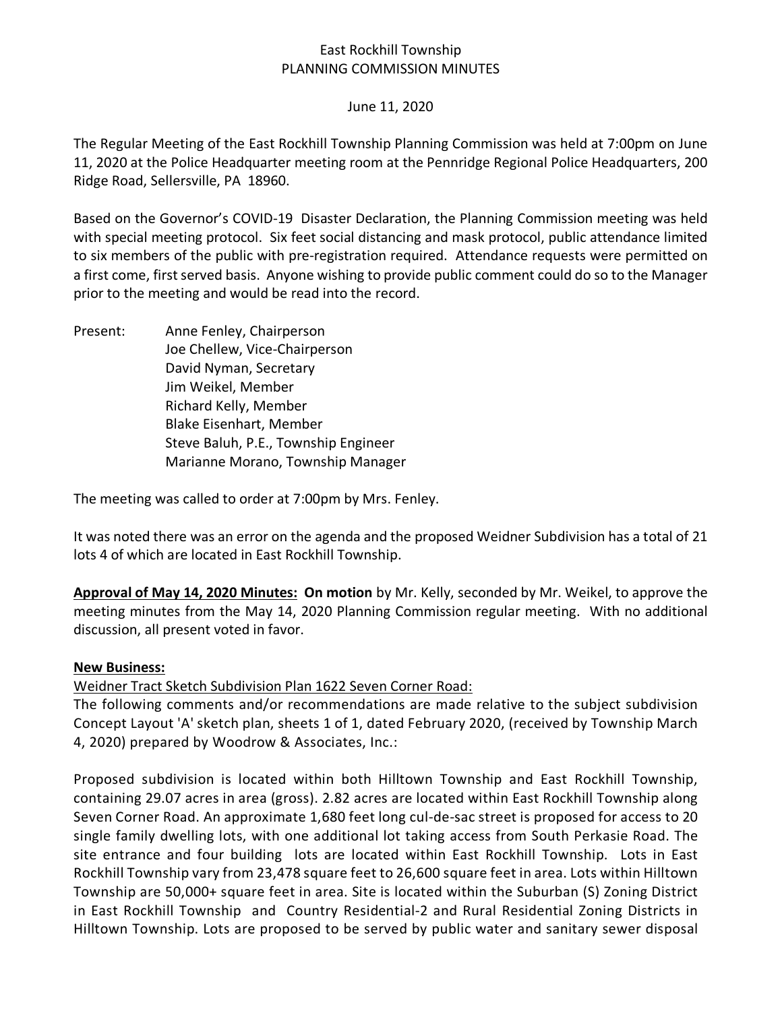## East Rockhill Township PLANNING COMMISSION MINUTES

## June 11, 2020

The Regular Meeting of the East Rockhill Township Planning Commission was held at 7:00pm on June 11, 2020 at the Police Headquarter meeting room at the Pennridge Regional Police Headquarters, 200 Ridge Road, Sellersville, PA 18960.

Based on the Governor's COVID-19 Disaster Declaration, the Planning Commission meeting was held with special meeting protocol. Six feet social distancing and mask protocol, public attendance limited to six members of the public with pre-registration required. Attendance requests were permitted on a first come, first served basis. Anyone wishing to provide public comment could do so to the Manager prior to the meeting and would be read into the record.

Present: Anne Fenley, Chairperson Joe Chellew, Vice-Chairperson David Nyman, Secretary Jim Weikel, Member Richard Kelly, Member Blake Eisenhart, Member Steve Baluh, P.E., Township Engineer Marianne Morano, Township Manager

The meeting was called to order at 7:00pm by Mrs. Fenley.

It was noted there was an error on the agenda and the proposed Weidner Subdivision has a total of 21 lots 4 of which are located in East Rockhill Township.

**Approval of May 14, 2020 Minutes: On motion** by Mr. Kelly, seconded by Mr. Weikel, to approve the meeting minutes from the May 14, 2020 Planning Commission regular meeting. With no additional discussion, all present voted in favor.

## **New Business:**

Weidner Tract Sketch Subdivision Plan 1622 Seven Corner Road:

The following comments and/or recommendations are made relative to the subject subdivision Concept Layout 'A' sketch plan, sheets 1 of 1, dated February 2020, (received by Township March 4, 2020) prepared by Woodrow & Associates, Inc.:

Proposed subdivision is located within both Hilltown Township and East Rockhill Township, containing 29.07 acres in area (gross). 2.82 acres are located within East Rockhill Township along Seven Corner Road. An approximate 1,680 feet long cul-de-sac street is proposed for access to 20 single family dwelling lots, with one additional lot taking access from South Perkasie Road. The site entrance and four building lots are located within East Rockhill Township. Lots in East Rockhill Township vary from 23,478 square feet to 26,600 square feet in area. Lots within Hilltown Township are 50,000+ square feet in area. Site is located within the Suburban (S) Zoning District in East Rockhill Township and Country Residential-2 and Rural Residential Zoning Districts in Hilltown Township. Lots are proposed to be served by public water and sanitary sewer disposal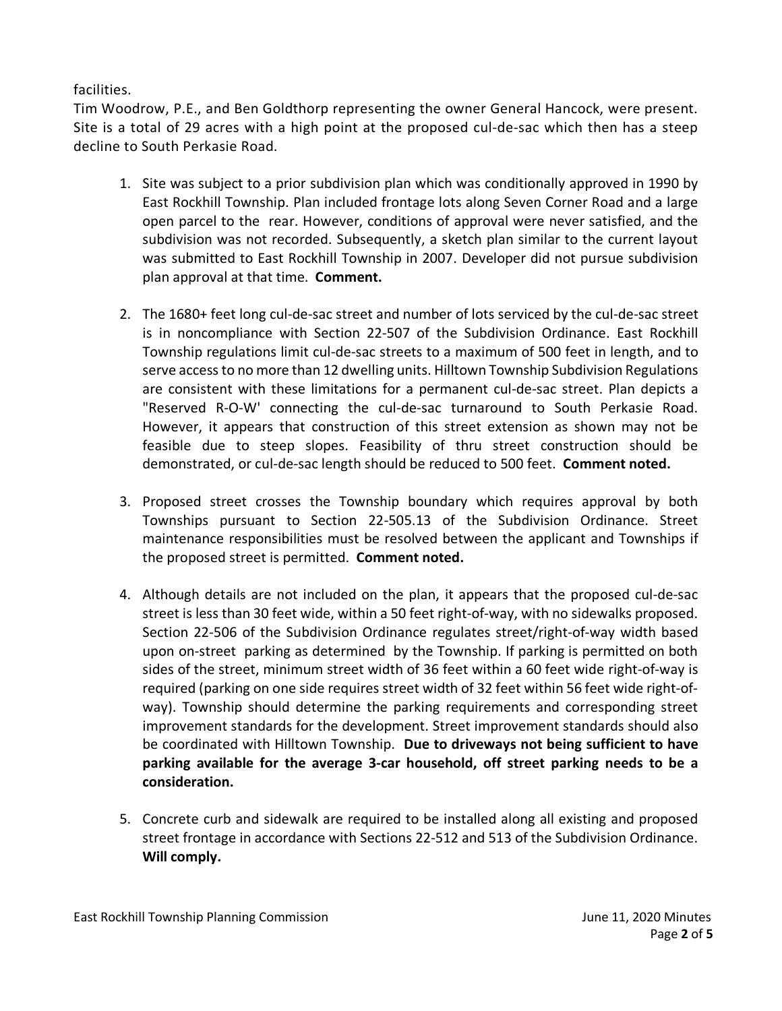facilities.

Tim Woodrow, P.E., and Ben Goldthorp representing the owner General Hancock, were present. Site is a total of 29 acres with a high point at the proposed cul-de-sac which then has a steep decline to South Perkasie Road.

- 1. Site was subject to a prior subdivision plan which was conditionally approved in 1990 by East Rockhill Township. Plan included frontage lots along Seven Corner Road and a large open parcel to the rear. However, conditions of approval were never satisfied, and the subdivision was not recorded. Subsequently, a sketch plan similar to the current layout was submitted to East Rockhill Township in 2007. Developer did not pursue subdivision plan approval at that time. **Comment.**
- 2. The 1680+ feet long cul-de-sac street and number of lots serviced by the cul-de-sac street is in noncompliance with Section 22-507 of the Subdivision Ordinance. East Rockhill Township regulations limit cul-de-sac streets to a maximum of 500 feet in length, and to serve access to no more than 12 dwelling units. Hilltown Township Subdivision Regulations are consistent with these limitations for a permanent cul-de-sac street. Plan depicts a "Reserved R-O-W' connecting the cul-de-sac turnaround to South Perkasie Road. However, it appears that construction of this street extension as shown may not be feasible due to steep slopes. Feasibility of thru street construction should be demonstrated, or cul-de-sac length should be reduced to 500 feet. **Comment noted.**
- 3. Proposed street crosses the Township boundary which requires approval by both Townships pursuant to Section 22-505.13 of the Subdivision Ordinance. Street maintenance responsibilities must be resolved between the applicant and Townships if the proposed street is permitted. **Comment noted.**
- 4. Although details are not included on the plan, it appears that the proposed cul-de-sac street is less than 30 feet wide, within a 50 feet right-of-way, with no sidewalks proposed. Section 22-506 of the Subdivision Ordinance regulates street/right-of-way width based upon on-street parking as determined by the Township. If parking is permitted on both sides of the street, minimum street width of 36 feet within a 60 feet wide right-of-way is required (parking on one side requires street width of 32 feet within 56 feet wide right-ofway). Township should determine the parking requirements and corresponding street improvement standards for the development. Street improvement standards should also be coordinated with Hilltown Township. **Due to driveways not being sufficient to have parking available for the average 3-car household, off street parking needs to be a consideration.**
- 5. Concrete curb and sidewalk are required to be installed along all existing and proposed street frontage in accordance with Sections 22-512 and 513 of the Subdivision Ordinance. **Will comply.**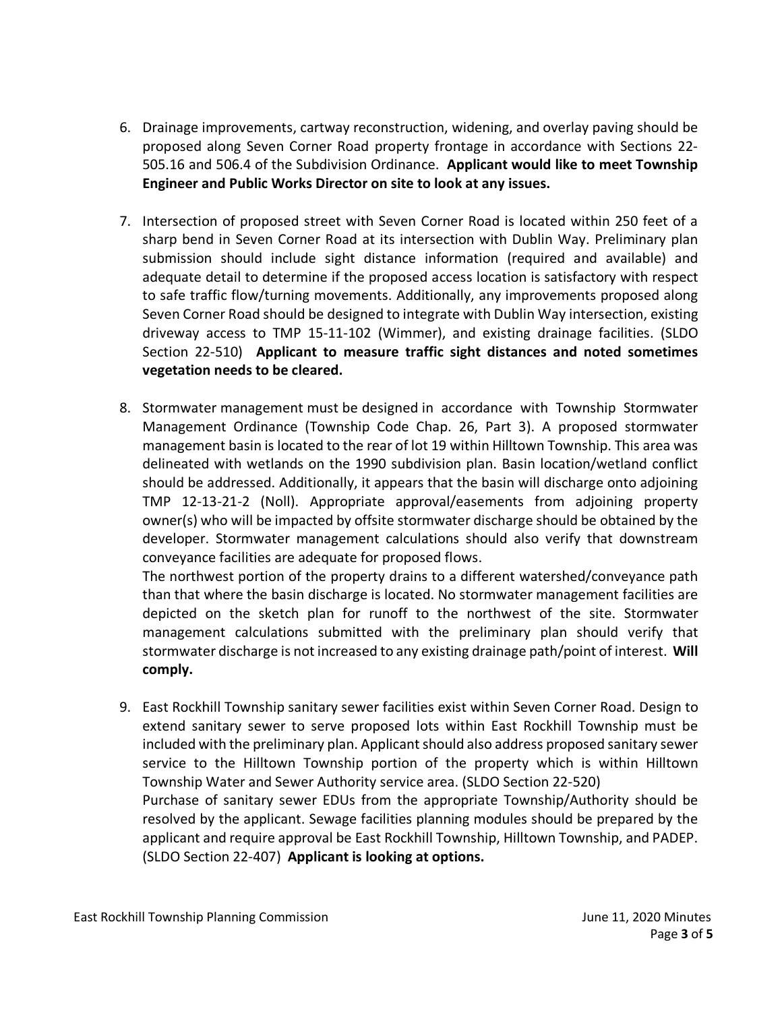- 6. Drainage improvements, cartway reconstruction, widening, and overlay paving should be proposed along Seven Corner Road property frontage in accordance with Sections 22- 505.16 and 506.4 of the Subdivision Ordinance. **Applicant would like to meet Township Engineer and Public Works Director on site to look at any issues.**
- 7. Intersection of proposed street with Seven Corner Road is located within 250 feet of a sharp bend in Seven Corner Road at its intersection with Dublin Way. Preliminary plan submission should include sight distance information (required and available) and adequate detail to determine if the proposed access location is satisfactory with respect to safe traffic flow/turning movements. Additionally, any improvements proposed along Seven Corner Road should be designed to integrate with Dublin Way intersection, existing driveway access to TMP 15-11-102 (Wimmer), and existing drainage facilities. (SLDO Section 22-510) **Applicant to measure traffic sight distances and noted sometimes vegetation needs to be cleared.**
- 8. Stormwater management must be designed in accordance with Township Stormwater Management Ordinance (Township Code Chap. 26, Part 3). A proposed stormwater management basin is located to the rear of lot 19 within Hilltown Township. This area was delineated with wetlands on the 1990 subdivision plan. Basin location/wetland conflict should be addressed. Additionally, it appears that the basin will discharge onto adjoining TMP 12-13-21-2 (Noll). Appropriate approval/easements from adjoining property owner(s) who will be impacted by offsite stormwater discharge should be obtained by the developer. Stormwater management calculations should also verify that downstream conveyance facilities are adequate for proposed flows.

The northwest portion of the property drains to a different watershed/conveyance path than that where the basin discharge is located. No stormwater management facilities are depicted on the sketch plan for runoff to the northwest of the site. Stormwater management calculations submitted with the preliminary plan should verify that stormwater discharge is not increased to any existing drainage path/point of interest. **Will comply.** 

9. East Rockhill Township sanitary sewer facilities exist within Seven Corner Road. Design to extend sanitary sewer to serve proposed lots within East Rockhill Township must be included with the preliminary plan. Applicant should also address proposed sanitary sewer service to the Hilltown Township portion of the property which is within Hilltown Township Water and Sewer Authority service area. (SLDO Section 22-520) Purchase of sanitary sewer EDUs from the appropriate Township/Authority should be resolved by the applicant. Sewage facilities planning modules should be prepared by the

applicant and require approval be East Rockhill Township, Hilltown Township, and PADEP. (SLDO Section 22-407) **Applicant is looking at options.**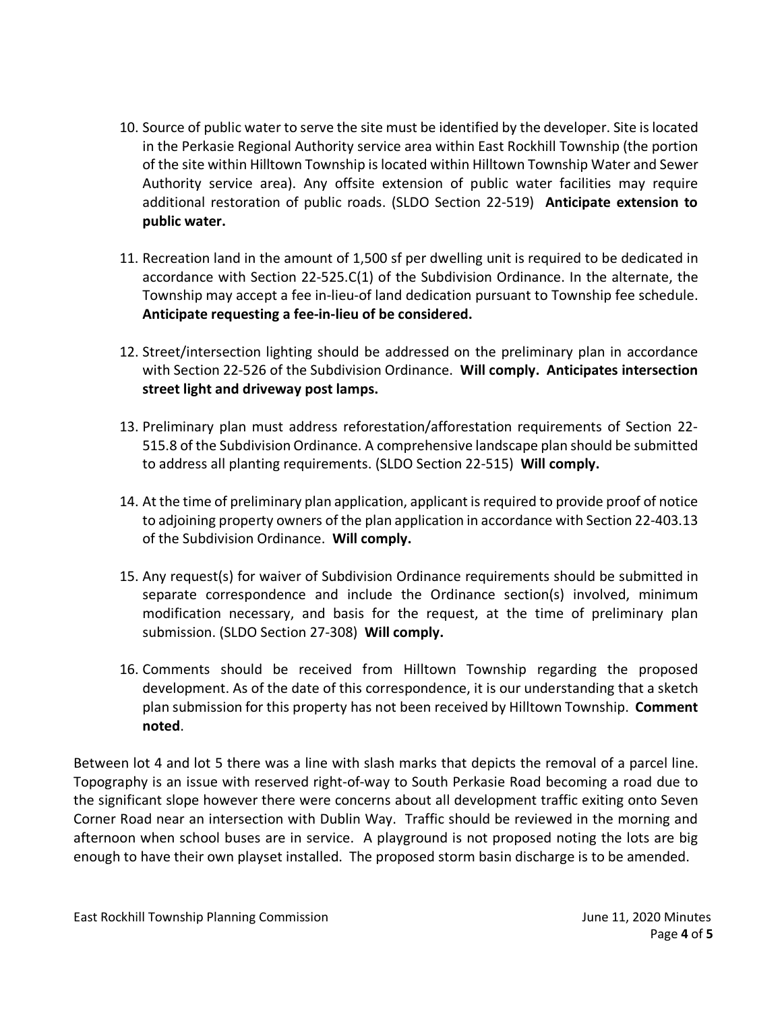- 10. Source of public water to serve the site must be identified by the developer. Site is located in the Perkasie Regional Authority service area within East Rockhill Township (the portion of the site within Hilltown Township is located within Hilltown Township Water and Sewer Authority service area). Any offsite extension of public water facilities may require additional restoration of public roads. (SLDO Section 22-519) **Anticipate extension to public water.**
- 11. Recreation land in the amount of 1,500 sf per dwelling unit is required to be dedicated in accordance with Section 22-525.C(1) of the Subdivision Ordinance. In the alternate, the Township may accept a fee in-lieu-of land dedication pursuant to Township fee schedule. **Anticipate requesting a fee-in-lieu of be considered.**
- 12. Street/intersection lighting should be addressed on the preliminary plan in accordance with Section 22-526 of the Subdivision Ordinance. **Will comply. Anticipates intersection street light and driveway post lamps.**
- 13. Preliminary plan must address reforestation/afforestation requirements of Section 22- 515.8 of the Subdivision Ordinance. A comprehensive landscape plan should be submitted to address all planting requirements. (SLDO Section 22-515) **Will comply.**
- 14. At the time of preliminary plan application, applicant is required to provide proof of notice to adjoining property owners of the plan application in accordance with Section 22-403.13 of the Subdivision Ordinance. **Will comply.**
- 15. Any request(s) for waiver of Subdivision Ordinance requirements should be submitted in separate correspondence and include the Ordinance section(s) involved, minimum modification necessary, and basis for the request, at the time of preliminary plan submission. (SLDO Section 27-308) **Will comply.**
- 16. Comments should be received from Hilltown Township regarding the proposed development. As of the date of this correspondence, it is our understanding that a sketch plan submission for this property has not been received by Hilltown Township. **Comment noted**.

Between lot 4 and lot 5 there was a line with slash marks that depicts the removal of a parcel line. Topography is an issue with reserved right-of-way to South Perkasie Road becoming a road due to the significant slope however there were concerns about all development traffic exiting onto Seven Corner Road near an intersection with Dublin Way. Traffic should be reviewed in the morning and afternoon when school buses are in service. A playground is not proposed noting the lots are big enough to have their own playset installed. The proposed storm basin discharge is to be amended.